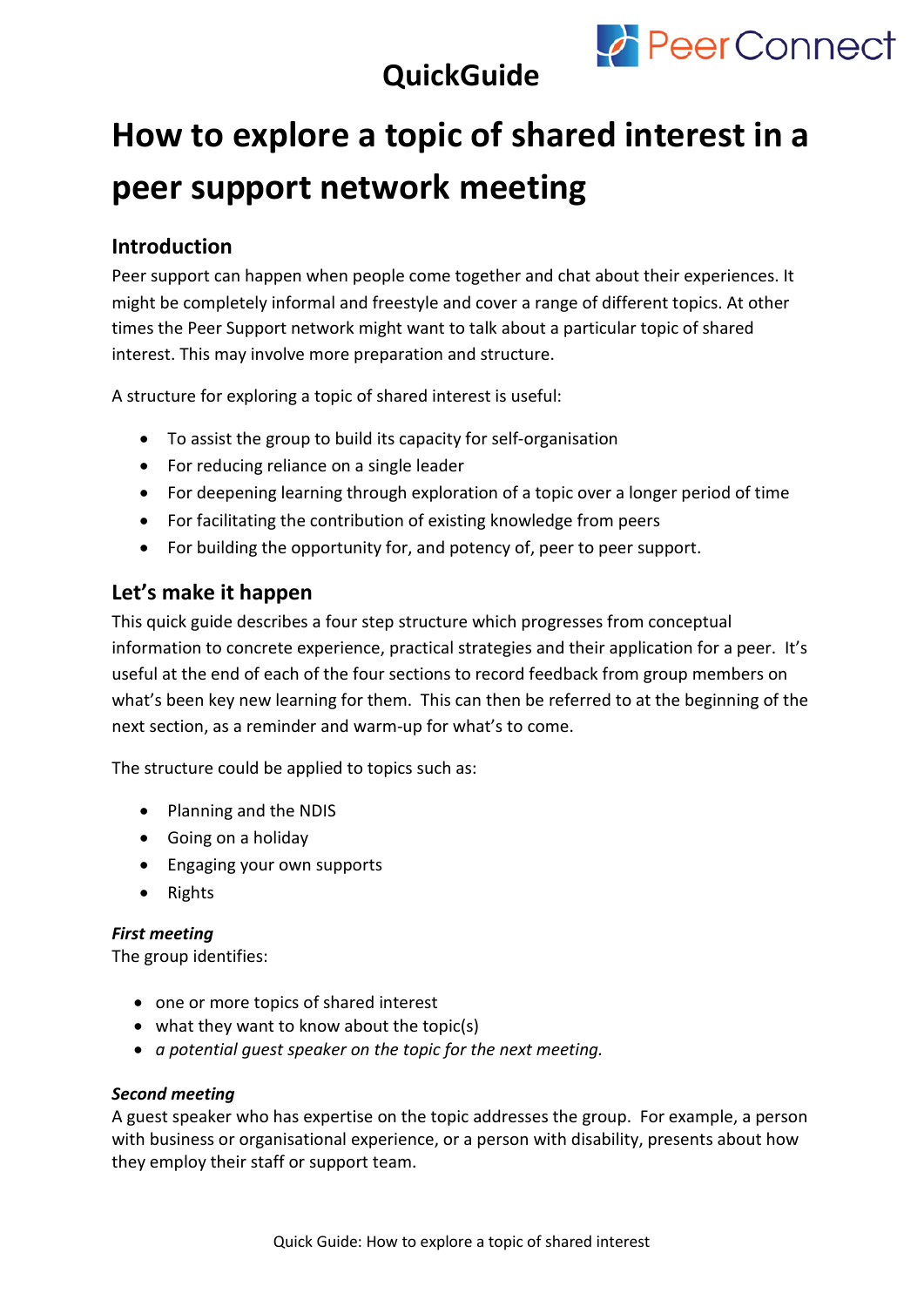

# **QuickGuide**

# **How to explore a topic of shared interest in a peer support network meeting**

# **Introduction**

Peer support can happen when people come together and chat about their experiences. It might be completely informal and freestyle and cover a range of different topics. At other times the Peer Support network might want to talk about a particular topic of shared interest. This may involve more preparation and structure.

A structure for exploring a topic of shared interest is useful:

- To assist the group to build its capacity for self-organisation
- For reducing reliance on a single leader
- For deepening learning through exploration of a topic over a longer period of time
- For facilitating the contribution of existing knowledge from peers
- For building the opportunity for, and potency of, peer to peer support.

# **Let's make it happen**

This quick guide describes a four step structure which progresses from conceptual information to concrete experience, practical strategies and their application for a peer. It's useful at the end of each of the four sections to record feedback from group members on what's been key new learning for them. This can then be referred to at the beginning of the next section, as a reminder and warm-up for what's to come.

The structure could be applied to topics such as:

- Planning and the NDIS
- Going on a holiday
- Engaging your own supports
- Rights

#### *First meeting*

The group identifies:

- one or more topics of shared interest
- what they want to know about the topic(s)
- *a potential guest speaker on the topic for the next meeting.*

#### *Second meeting*

A guest speaker who has expertise on the topic addresses the group. For example, a person with business or organisational experience, or a person with disability, presents about how they employ their staff or support team.